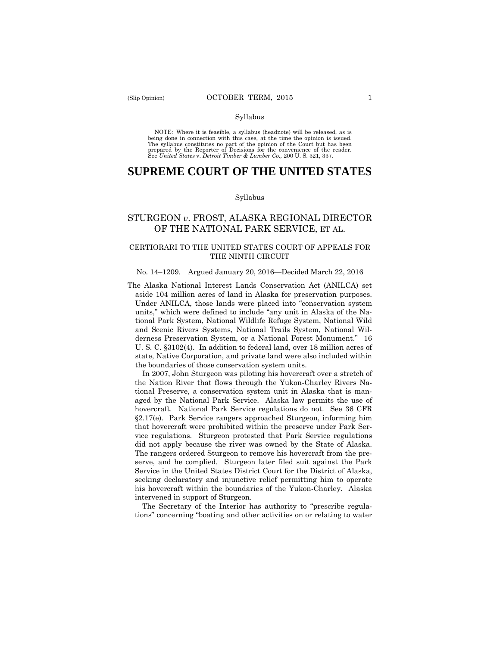#### Syllabus

 NOTE: Where it is feasible, a syllabus (headnote) will be released, as is being done in connection with this case, at the time the opinion is issued. The syllabus constitutes no part of the opinion of the Court but has been<br>prepared by the Reporter of Decisions for the convenience of the reader.<br>See United States v. Detroit Timber & Lumber Co., 200 U.S. 321, 337.

# **SUPREME COURT OF THE UNITED STATES**

#### Syllabus

## STURGEON *v*. FROST, ALASKA REGIONAL DIRECTOR OF THE NATIONAL PARK SERVICE, ET AL.

## CERTIORARI TO THE UNITED STATES COURT OF APPEALS FOR THE NINTH CIRCUIT

#### No. 14–1209. Argued January 20, 2016—Decided March 22, 2016

The Alaska National Interest Lands Conservation Act (ANILCA) set aside 104 million acres of land in Alaska for preservation purposes. Under ANILCA, those lands were placed into "conservation system units," which were defined to include "any unit in Alaska of the National Park System, National Wildlife Refuge System, National Wild and Scenic Rivers Systems, National Trails System, National Wilderness Preservation System, or a National Forest Monument." 16 U. S. C. §3102(4). In addition to federal land, over 18 million acres of state, Native Corporation, and private land were also included within the boundaries of those conservation system units.

 did not apply because the river was owned by the State of Alaska. In 2007, John Sturgeon was piloting his hovercraft over a stretch of the Nation River that flows through the Yukon-Charley Rivers National Preserve, a conservation system unit in Alaska that is managed by the National Park Service. Alaska law permits the use of hovercraft. National Park Service regulations do not. See 36 CFR §2.17(e). Park Service rangers approached Sturgeon, informing him that hovercraft were prohibited within the preserve under Park Service regulations. Sturgeon protested that Park Service regulations The rangers ordered Sturgeon to remove his hovercraft from the preserve, and he complied. Sturgeon later filed suit against the Park Service in the United States District Court for the District of Alaska, seeking declaratory and injunctive relief permitting him to operate his hovercraft within the boundaries of the Yukon-Charley. Alaska intervened in support of Sturgeon.

The Secretary of the Interior has authority to "prescribe regulations" concerning "boating and other activities on or relating to water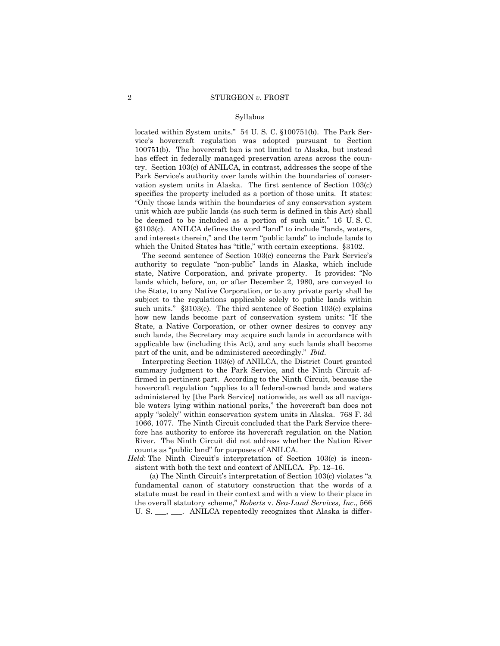#### Syllabus

located within System units." 54 U. S. C. §100751(b). The Park Service's hovercraft regulation was adopted pursuant to Section 100751(b). The hovercraft ban is not limited to Alaska, but instead has effect in federally managed preservation areas across the country. Section 103(c) of ANILCA, in contrast, addresses the scope of the Park Service's authority over lands within the boundaries of conservation system units in Alaska. The first sentence of Section 103(c) specifies the property included as a portion of those units. It states: "Only those lands within the boundaries of any conservation system unit which are public lands (as such term is defined in this Act) shall be deemed to be included as a portion of such unit." 16 U. S. C. §3103(c). ANILCA defines the word "land" to include "lands, waters, and interests therein," and the term "public lands" to include lands to which the United States has "title," with certain exceptions. §3102.

The second sentence of Section 103(c) concerns the Park Service's authority to regulate "non-public" lands in Alaska, which include state, Native Corporation, and private property. It provides: "No lands which, before, on, or after December 2, 1980, are conveyed to the State, to any Native Corporation, or to any private party shall be subject to the regulations applicable solely to public lands within such units." §3103(c). The third sentence of Section 103(c) explains how new lands become part of conservation system units: "If the State, a Native Corporation, or other owner desires to convey any such lands, the Secretary may acquire such lands in accordance with applicable law (including this Act), and any such lands shall become part of the unit, and be administered accordingly." *Ibid.* 

Interpreting Section 103(c) of ANILCA, the District Court granted summary judgment to the Park Service, and the Ninth Circuit affirmed in pertinent part. According to the Ninth Circuit, because the hovercraft regulation "applies to all federal-owned lands and waters administered by [the Park Service] nationwide, as well as all navigable waters lying within national parks," the hovercraft ban does not apply "solely" within conservation system units in Alaska. 768 F. 3d 1066, 1077. The Ninth Circuit concluded that the Park Service therefore has authority to enforce its hovercraft regulation on the Nation River. The Ninth Circuit did not address whether the Nation River counts as "public land" for purposes of ANILCA.

*Held*: The Ninth Circuit's interpretation of Section 103(c) is inconsistent with both the text and context of ANILCA. Pp. 12–16.

 statute must be read in their context and with a view to their place in (a) The Ninth Circuit's interpretation of Section 103(c) violates "a fundamental canon of statutory construction that the words of a the overall statutory scheme," *Roberts* v. *Sea-Land Services, Inc*., 566 U. S. \_\_\_, \_\_\_. ANILCA repeatedly recognizes that Alaska is differ-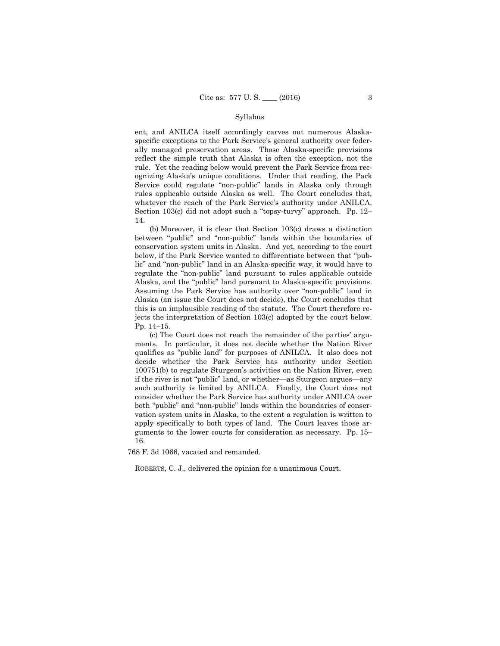#### Syllabus

 ent, and ANILCA itself accordingly carves out numerous Alaskaspecific exceptions to the Park Service's general authority over federally managed preservation areas. Those Alaska-specific provisions reflect the simple truth that Alaska is often the exception, not the rule. Yet the reading below would prevent the Park Service from recognizing Alaska's unique conditions. Under that reading, the Park Service could regulate "non-public" lands in Alaska only through rules applicable outside Alaska as well. The Court concludes that, whatever the reach of the Park Service's authority under ANILCA, Section 103(c) did not adopt such a "topsy-turvy" approach. Pp. 12– 14.

 Alaska, and the "public" land pursuant to Alaska-specific provisions. (b) Moreover, it is clear that Section 103(c) draws a distinction between "public" and "non-public" lands within the boundaries of conservation system units in Alaska. And yet, according to the court below, if the Park Service wanted to differentiate between that "public" and "non-public" land in an Alaska-specific way, it would have to regulate the "non-public" land pursuant to rules applicable outside Assuming the Park Service has authority over "non-public" land in Alaska (an issue the Court does not decide), the Court concludes that this is an implausible reading of the statute. The Court therefore rejects the interpretation of Section 103(c) adopted by the court below. Pp. 14–15.

(c) The Court does not reach the remainder of the parties' arguments. In particular, it does not decide whether the Nation River qualifies as "public land" for purposes of ANILCA. It also does not decide whether the Park Service has authority under Section 100751(b) to regulate Sturgeon's activities on the Nation River, even if the river is not "public" land, or whether—as Sturgeon argues—any such authority is limited by ANILCA. Finally, the Court does not consider whether the Park Service has authority under ANILCA over both "public" and "non-public" lands within the boundaries of conservation system units in Alaska, to the extent a regulation is written to apply specifically to both types of land. The Court leaves those arguments to the lower courts for consideration as necessary. Pp. 15– 16.

768 F. 3d 1066, vacated and remanded.

ROBERTS, C. J., delivered the opinion for a unanimous Court.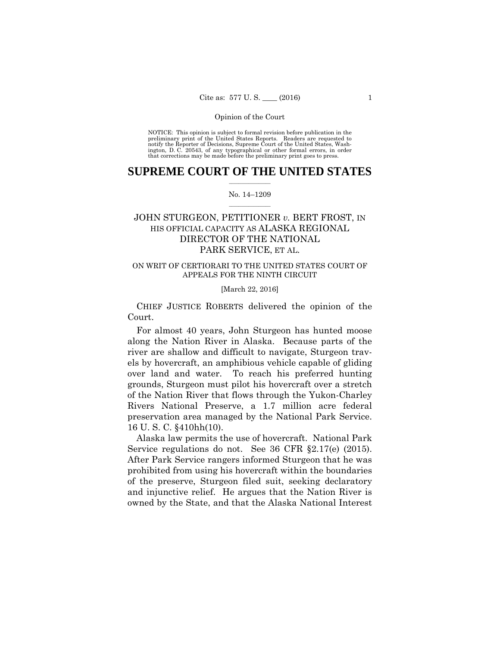preliminary print of the United States Reports. Readers are requested to notify the Reporter of Decisions, Supreme Court of the United States, Wash- ington, D. C. 20543, of any typographical or other formal errors, in order that corrections may be made before the preliminary print goes to press. NOTICE: This opinion is subject to formal revision before publication in the

## $\frac{1}{2}$  , where  $\frac{1}{2}$ **SUPREME COURT OF THE UNITED STATES**

#### $\frac{1}{2}$  ,  $\frac{1}{2}$  ,  $\frac{1}{2}$  ,  $\frac{1}{2}$  ,  $\frac{1}{2}$  ,  $\frac{1}{2}$ No. 14–1209

## JOHN STURGEON, PETITIONER *v.* BERT FROST, IN HIS OFFICIAL CAPACITY AS ALASKA REGIONAL DIRECTOR OF THE NATIONAL PARK SERVICE, ET AL.

## ON WRIT OF CERTIORARI TO THE UNITED STATES COURT OF APPEALS FOR THE NINTH CIRCUIT

### [March 22, 2016]

 CHIEF JUSTICE ROBERTS delivered the opinion of the Court.

 preservation area managed by the National Park Service. For almost 40 years, John Sturgeon has hunted moose along the Nation River in Alaska. Because parts of the river are shallow and difficult to navigate, Sturgeon travels by hovercraft, an amphibious vehicle capable of gliding over land and water. To reach his preferred hunting grounds, Sturgeon must pilot his hovercraft over a stretch of the Nation River that flows through the Yukon-Charley Rivers National Preserve, a 1.7 million acre federal 16 U. S. C. §410hh(10).

Service regulations do not. See 36 CFR §2.17(e) (2015). and injunctive relief. He argues that the Nation River is Alaska law permits the use of hovercraft. National Park After Park Service rangers informed Sturgeon that he was prohibited from using his hovercraft within the boundaries of the preserve, Sturgeon filed suit, seeking declaratory owned by the State, and that the Alaska National Interest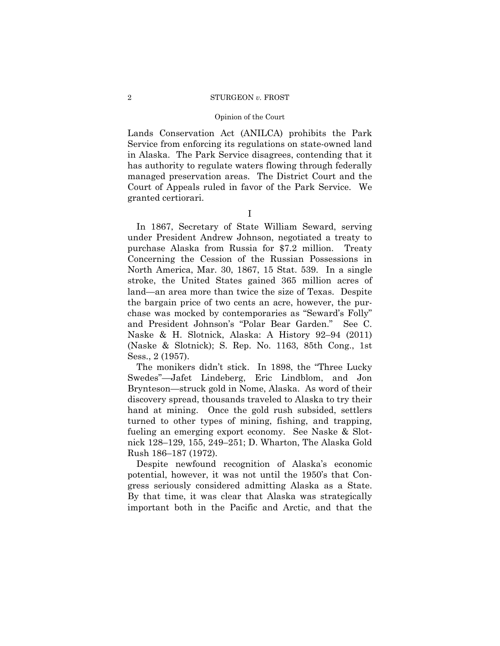#### Opinion of the Court

Lands Conservation Act (ANILCA) prohibits the Park Service from enforcing its regulations on state-owned land in Alaska. The Park Service disagrees, contending that it has authority to regulate waters flowing through federally managed preservation areas. The District Court and the Court of Appeals ruled in favor of the Park Service. We granted certiorari.

I

In 1867, Secretary of State William Seward, serving under President Andrew Johnson, negotiated a treaty to purchase Alaska from Russia for \$7.2 million. Treaty Concerning the Cession of the Russian Possessions in North America, Mar. 30, 1867, 15 Stat. 539. In a single stroke, the United States gained 365 million acres of land—an area more than twice the size of Texas. Despite the bargain price of two cents an acre, however, the purchase was mocked by contemporaries as "Seward's Folly" and President Johnson's "Polar Bear Garden." See C. Naske & H. Slotnick, Alaska: A History 92–94 (2011) (Naske & Slotnick); S. Rep. No. 1163, 85th Cong., 1st Sess., 2 (1957).

The monikers didn't stick. In 1898, the "Three Lucky Swedes"—Jafet Lindeberg, Eric Lindblom, and Jon Brynteson—struck gold in Nome, Alaska. As word of their discovery spread, thousands traveled to Alaska to try their hand at mining. Once the gold rush subsided, settlers turned to other types of mining, fishing, and trapping, fueling an emerging export economy. See Naske & Slotnick 128–129, 155, 249–251; D. Wharton, The Alaska Gold Rush 186–187 (1972).

Despite newfound recognition of Alaska's economic potential, however, it was not until the 1950's that Congress seriously considered admitting Alaska as a State. By that time, it was clear that Alaska was strategically important both in the Pacific and Arctic, and that the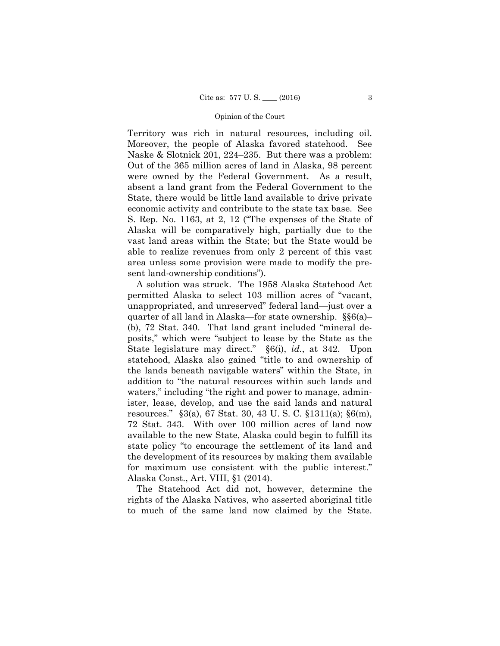Territory was rich in natural resources, including oil. Moreover, the people of Alaska favored statehood. See Naske & Slotnick 201, 224–235. But there was a problem: Out of the 365 million acres of land in Alaska, 98 percent were owned by the Federal Government. As a result, absent a land grant from the Federal Government to the State, there would be little land available to drive private economic activity and contribute to the state tax base. See S. Rep. No. 1163, at 2, 12 ("The expenses of the State of Alaska will be comparatively high, partially due to the vast land areas within the State; but the State would be able to realize revenues from only 2 percent of this vast area unless some provision were made to modify the present land-ownership conditions").

A solution was struck. The 1958 Alaska Statehood Act permitted Alaska to select 103 million acres of "vacant, unappropriated, and unreserved" federal land—just over a quarter of all land in Alaska—for state ownership. §§6(a)– (b), 72 Stat. 340. That land grant included "mineral deposits," which were "subject to lease by the State as the State legislature may direct." §6(i), *id.*, at 342. Upon statehood, Alaska also gained "title to and ownership of the lands beneath navigable waters" within the State, in addition to "the natural resources within such lands and waters," including "the right and power to manage, administer, lease, develop, and use the said lands and natural resources." §3(a), 67 Stat. 30, 43 U. S. C. §1311(a); §6(m), 72 Stat. 343. With over 100 million acres of land now available to the new State, Alaska could begin to fulfill its state policy "to encourage the settlement of its land and the development of its resources by making them available for maximum use consistent with the public interest." Alaska Const., Art. VIII, §1 (2014).

The Statehood Act did not, however, determine the rights of the Alaska Natives, who asserted aboriginal title to much of the same land now claimed by the State.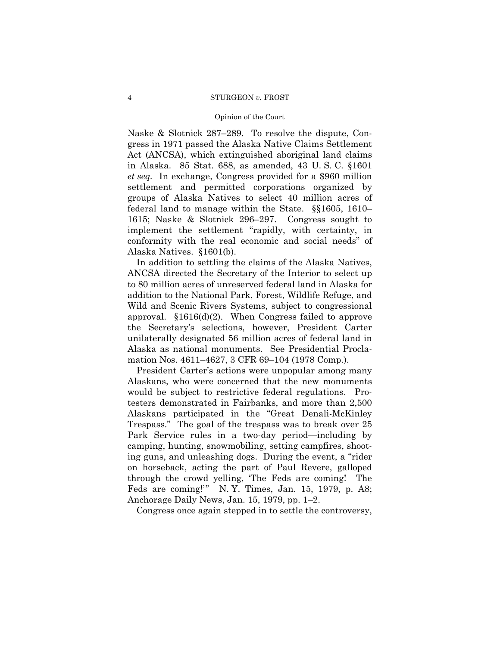#### Opinion of the Court

Naske & Slotnick 287–289. To resolve the dispute, Congress in 1971 passed the Alaska Native Claims Settlement Act (ANCSA), which extinguished aboriginal land claims in Alaska. 85 Stat. 688, as amended, 43 U. S. C. §1601 *et seq.* In exchange, Congress provided for a \$960 million settlement and permitted corporations organized by groups of Alaska Natives to select 40 million acres of federal land to manage within the State. §§1605, 1610– 1615; Naske & Slotnick 296–297. Congress sought to implement the settlement "rapidly, with certainty, in conformity with the real economic and social needs" of Alaska Natives. §1601(b).

In addition to settling the claims of the Alaska Natives, ANCSA directed the Secretary of the Interior to select up to 80 million acres of unreserved federal land in Alaska for addition to the National Park, Forest, Wildlife Refuge, and Wild and Scenic Rivers Systems, subject to congressional approval. §1616(d)(2). When Congress failed to approve the Secretary's selections, however, President Carter unilaterally designated 56 million acres of federal land in Alaska as national monuments. See Presidential Proclamation Nos. 4611–4627, 3 CFR 69–104 (1978 Comp.).

President Carter's actions were unpopular among many Alaskans, who were concerned that the new monuments would be subject to restrictive federal regulations. Protesters demonstrated in Fairbanks, and more than 2,500 Alaskans participated in the "Great Denali-McKinley Trespass." The goal of the trespass was to break over 25 Park Service rules in a two-day period—including by camping, hunting, snowmobiling, setting campfires, shooting guns, and unleashing dogs. During the event, a "rider on horseback, acting the part of Paul Revere, galloped through the crowd yelling, 'The Feds are coming! The Feds are coming!'" N. Y. Times, Jan. 15, 1979, p. A8; Anchorage Daily News, Jan. 15, 1979, pp. 1–2.

Congress once again stepped in to settle the controversy,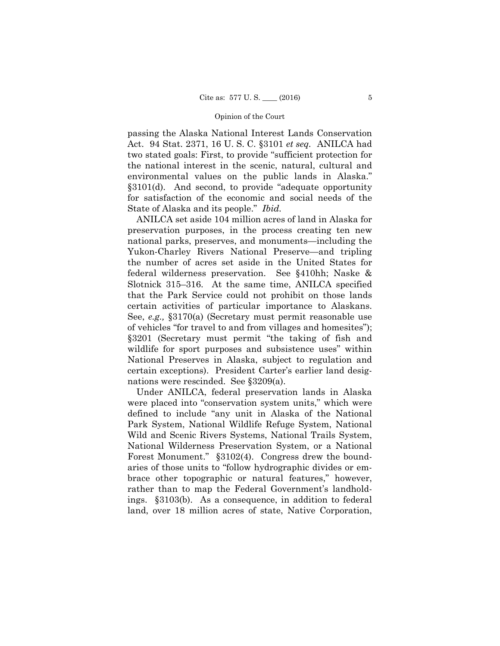Act. 94 Stat. 2371, 16 U. S. C. §3101 *et seq.* ANILCA had passing the Alaska National Interest Lands Conservation two stated goals: First, to provide "sufficient protection for the national interest in the scenic, natural, cultural and environmental values on the public lands in Alaska." §3101(d). And second, to provide "adequate opportunity for satisfaction of the economic and social needs of the State of Alaska and its people." *Ibid.* 

ANILCA set aside 104 million acres of land in Alaska for preservation purposes, in the process creating ten new national parks, preserves, and monuments—including the Yukon-Charley Rivers National Preserve—and tripling the number of acres set aside in the United States for federal wilderness preservation. See §410hh; Naske & Slotnick 315–316. At the same time, ANILCA specified that the Park Service could not prohibit on those lands certain activities of particular importance to Alaskans. See, *e.g.,* §3170(a) (Secretary must permit reasonable use of vehicles "for travel to and from villages and homesites"); §3201 (Secretary must permit "the taking of fish and wildlife for sport purposes and subsistence uses" within National Preserves in Alaska, subject to regulation and certain exceptions). President Carter's earlier land designations were rescinded. See §3209(a).

Under ANILCA, federal preservation lands in Alaska were placed into "conservation system units," which were defined to include "any unit in Alaska of the National Park System, National Wildlife Refuge System, National Wild and Scenic Rivers Systems, National Trails System, National Wilderness Preservation System, or a National Forest Monument." §3102(4). Congress drew the boundaries of those units to "follow hydrographic divides or embrace other topographic or natural features," however, rather than to map the Federal Government's landholdings. §3103(b). As a consequence, in addition to federal land, over 18 million acres of state, Native Corporation,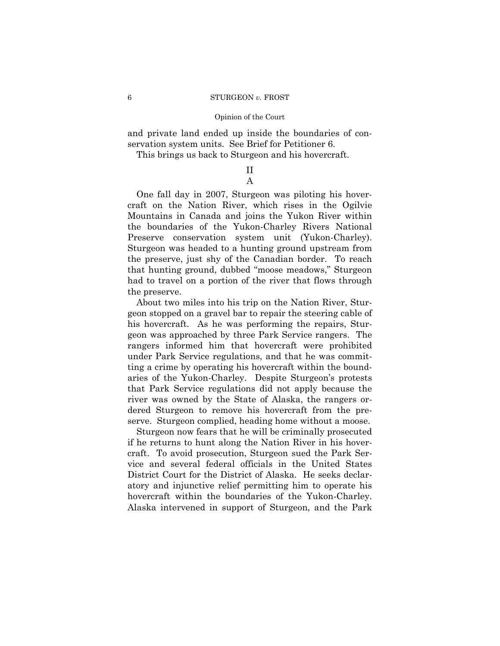and private land ended up inside the boundaries of conservation system units. See Brief for Petitioner 6.

This brings us back to Sturgeon and his hovercraft.

## II A

One fall day in 2007, Sturgeon was piloting his hovercraft on the Nation River, which rises in the Ogilvie Mountains in Canada and joins the Yukon River within the boundaries of the Yukon-Charley Rivers National Preserve conservation system unit (Yukon-Charley). Sturgeon was headed to a hunting ground upstream from the preserve, just shy of the Canadian border. To reach that hunting ground, dubbed "moose meadows," Sturgeon had to travel on a portion of the river that flows through the preserve.

About two miles into his trip on the Nation River, Sturgeon stopped on a gravel bar to repair the steering cable of his hovercraft. As he was performing the repairs, Sturgeon was approached by three Park Service rangers. The rangers informed him that hovercraft were prohibited under Park Service regulations, and that he was committing a crime by operating his hovercraft within the boundaries of the Yukon-Charley. Despite Sturgeon's protests that Park Service regulations did not apply because the river was owned by the State of Alaska, the rangers ordered Sturgeon to remove his hovercraft from the preserve. Sturgeon complied, heading home without a moose.

Sturgeon now fears that he will be criminally prosecuted if he returns to hunt along the Nation River in his hovercraft. To avoid prosecution, Sturgeon sued the Park Service and several federal officials in the United States District Court for the District of Alaska. He seeks declaratory and injunctive relief permitting him to operate his hovercraft within the boundaries of the Yukon-Charley. Alaska intervened in support of Sturgeon, and the Park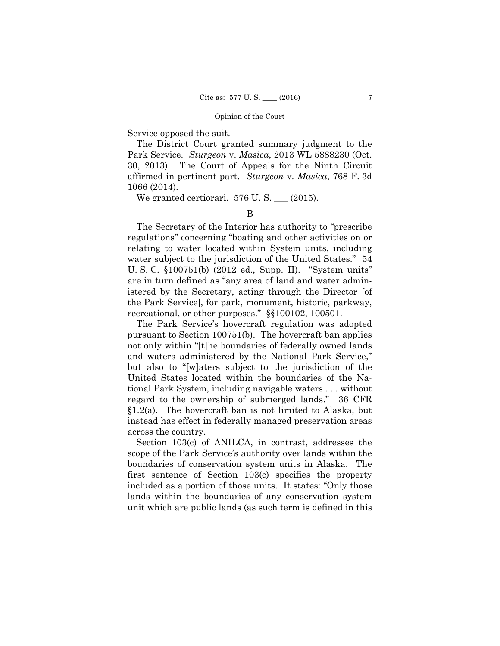Service opposed the suit.

The District Court granted summary judgment to the Park Service. *Sturgeon* v. *Masica*, 2013 WL 5888230 (Oct. 30, 2013). The Court of Appeals for the Ninth Circuit affirmed in pertinent part. *Sturgeon* v. *Masica*, 768 F. 3d 1066 (2014).

We granted certiorari.  $576$  U.S.  $\_\_$  (2015).

B

The Secretary of the Interior has authority to "prescribe regulations" concerning "boating and other activities on or relating to water located within System units, including water subject to the jurisdiction of the United States." 54 U. S. C. §100751(b) (2012 ed., Supp. II). "System units" are in turn defined as "any area of land and water administered by the Secretary, acting through the Director [of the Park Service], for park, monument, historic, parkway, recreational, or other purposes." §§100102, 100501.

The Park Service's hovercraft regulation was adopted pursuant to Section 100751(b). The hovercraft ban applies not only within "[t]he boundaries of federally owned lands and waters administered by the National Park Service," but also to "[w]aters subject to the jurisdiction of the United States located within the boundaries of the National Park System, including navigable waters . . . without regard to the ownership of submerged lands." 36 CFR §1.2(a). The hovercraft ban is not limited to Alaska, but instead has effect in federally managed preservation areas across the country.

Section 103(c) of ANILCA, in contrast, addresses the scope of the Park Service's authority over lands within the boundaries of conservation system units in Alaska. The first sentence of Section 103(c) specifies the property included as a portion of those units. It states: "Only those lands within the boundaries of any conservation system unit which are public lands (as such term is defined in this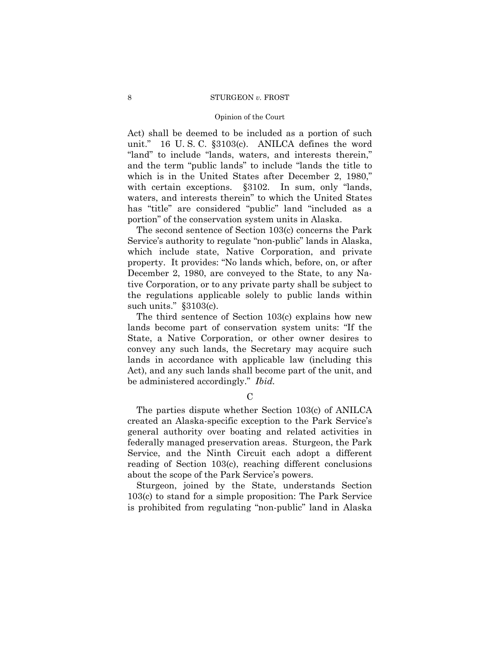#### Opinion of the Court

Act) shall be deemed to be included as a portion of such unit." 16 U. S. C. §3103(c). ANILCA defines the word "land" to include "lands, waters, and interests therein," and the term "public lands" to include "lands the title to which is in the United States after December 2, 1980," with certain exceptions. §3102. In sum, only "lands, waters, and interests therein" to which the United States has "title" are considered "public" land "included as a portion" of the conservation system units in Alaska.

The second sentence of Section 103(c) concerns the Park Service's authority to regulate "non-public" lands in Alaska, which include state, Native Corporation, and private property. It provides: "No lands which, before, on, or after December 2, 1980, are conveyed to the State, to any Native Corporation, or to any private party shall be subject to the regulations applicable solely to public lands within such units." §3103(c).

The third sentence of Section 103(c) explains how new lands become part of conservation system units: "If the State, a Native Corporation, or other owner desires to convey any such lands, the Secretary may acquire such lands in accordance with applicable law (including this Act), and any such lands shall become part of the unit, and be administered accordingly." *Ibid.* 

 $\mathcal{C}$ 

The parties dispute whether Section 103(c) of ANILCA created an Alaska-specific exception to the Park Service's general authority over boating and related activities in federally managed preservation areas. Sturgeon, the Park Service, and the Ninth Circuit each adopt a different reading of Section 103(c), reaching different conclusions about the scope of the Park Service's powers.

Sturgeon, joined by the State, understands Section 103(c) to stand for a simple proposition: The Park Service is prohibited from regulating "non-public" land in Alaska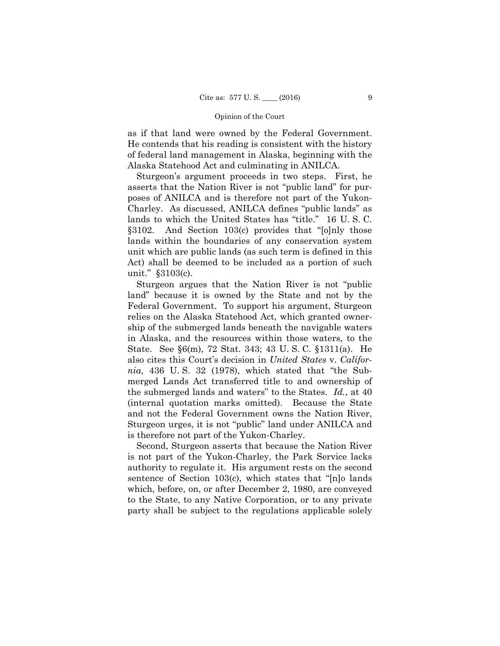as if that land were owned by the Federal Government. He contends that his reading is consistent with the history of federal land management in Alaska, beginning with the Alaska Statehood Act and culminating in ANILCA.

Sturgeon's argument proceeds in two steps. First, he asserts that the Nation River is not "public land" for purposes of ANILCA and is therefore not part of the Yukon-Charley. As discussed, ANILCA defines "public lands" as lands to which the United States has "title." 16 U. S. C. §3102. And Section 103(c) provides that "[o]nly those lands within the boundaries of any conservation system unit which are public lands (as such term is defined in this Act) shall be deemed to be included as a portion of such unit." §3103(c).

Sturgeon argues that the Nation River is not "public land" because it is owned by the State and not by the Federal Government. To support his argument, Sturgeon relies on the Alaska Statehood Act, which granted ownership of the submerged lands beneath the navigable waters in Alaska, and the resources within those waters, to the State. See §6(m), 72 Stat. 343; 43 U. S. C. §1311(a). He also cites this Court's decision in *United States* v. *California*, 436 U. S. 32 (1978), which stated that "the Submerged Lands Act transferred title to and ownership of the submerged lands and waters" to the States. *Id.*, at 40 (internal quotation marks omitted). Because the State and not the Federal Government owns the Nation River, Sturgeon urges, it is not "public" land under ANILCA and is therefore not part of the Yukon-Charley.

Second, Sturgeon asserts that because the Nation River is not part of the Yukon-Charley, the Park Service lacks authority to regulate it. His argument rests on the second sentence of Section 103(c), which states that "[n]o lands which, before, on, or after December 2, 1980, are conveyed to the State, to any Native Corporation, or to any private party shall be subject to the regulations applicable solely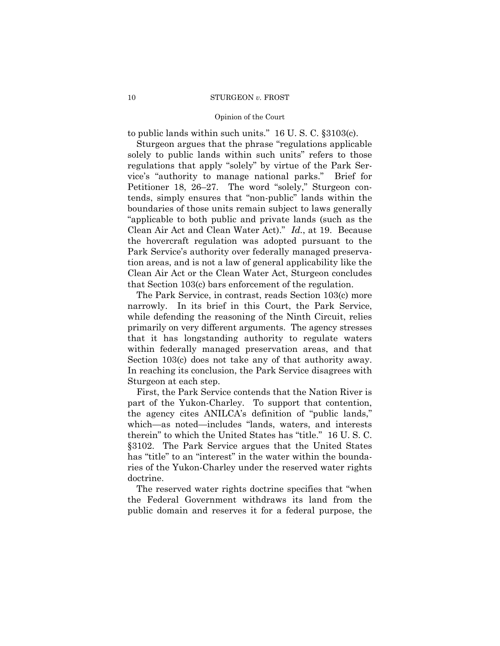to public lands within such units." 16 U. S. C. §3103(c).

Sturgeon argues that the phrase "regulations applicable solely to public lands within such units" refers to those regulations that apply "solely" by virtue of the Park Service's "authority to manage national parks." Brief for Petitioner 18, 26–27. The word "solely," Sturgeon contends, simply ensures that "non-public" lands within the boundaries of those units remain subject to laws generally "applicable to both public and private lands (such as the Clean Air Act and Clean Water Act)." *Id.*, at 19. Because the hovercraft regulation was adopted pursuant to the Park Service's authority over federally managed preservation areas, and is not a law of general applicability like the Clean Air Act or the Clean Water Act, Sturgeon concludes that Section 103(c) bars enforcement of the regulation.

The Park Service, in contrast, reads Section 103(c) more narrowly. In its brief in this Court, the Park Service, while defending the reasoning of the Ninth Circuit, relies primarily on very different arguments. The agency stresses that it has longstanding authority to regulate waters within federally managed preservation areas, and that Section 103(c) does not take any of that authority away. In reaching its conclusion, the Park Service disagrees with Sturgeon at each step.

First, the Park Service contends that the Nation River is part of the Yukon-Charley. To support that contention, the agency cites ANILCA's definition of "public lands," which—as noted—includes "lands, waters, and interests therein" to which the United States has "title." 16 U. S. C. §3102. The Park Service argues that the United States has "title" to an "interest" in the water within the boundaries of the Yukon-Charley under the reserved water rights doctrine.

The reserved water rights doctrine specifies that "when the Federal Government withdraws its land from the public domain and reserves it for a federal purpose, the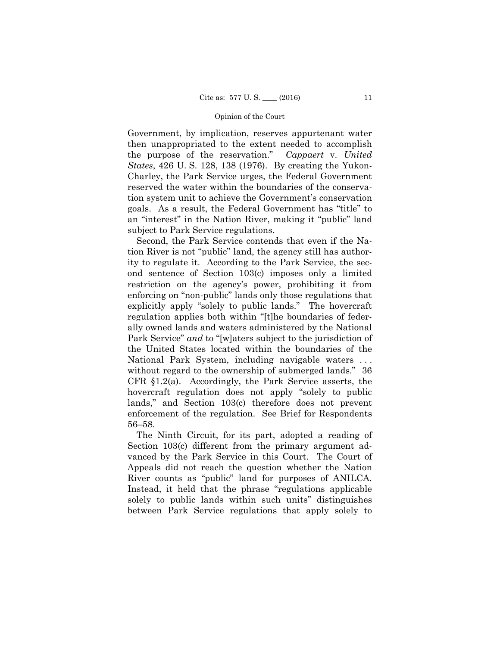Government, by implication, reserves appurtenant water then unappropriated to the extent needed to accomplish the purpose of the reservation." *Cappaert* v. *United States*, 426 U. S. 128, 138 (1976). By creating the Yukon-Charley, the Park Service urges, the Federal Government reserved the water within the boundaries of the conservation system unit to achieve the Government's conservation goals. As a result, the Federal Government has "title" to an "interest" in the Nation River, making it "public" land subject to Park Service regulations.

Second, the Park Service contends that even if the Nation River is not "public" land, the agency still has authority to regulate it. According to the Park Service, the second sentence of Section 103(c) imposes only a limited restriction on the agency's power, prohibiting it from enforcing on "non-public" lands only those regulations that explicitly apply "solely to public lands." The hovercraft regulation applies both within "[t]he boundaries of federally owned lands and waters administered by the National Park Service" *and* to "[w]aters subject to the jurisdiction of the United States located within the boundaries of the National Park System, including navigable waters . . . without regard to the ownership of submerged lands." 36 CFR §1.2(a). Accordingly, the Park Service asserts, the hovercraft regulation does not apply "solely to public lands," and Section 103(c) therefore does not prevent enforcement of the regulation. See Brief for Respondents 56–58.

The Ninth Circuit, for its part, adopted a reading of Section 103(c) different from the primary argument advanced by the Park Service in this Court. The Court of Appeals did not reach the question whether the Nation River counts as "public" land for purposes of ANILCA. Instead, it held that the phrase "regulations applicable solely to public lands within such units" distinguishes between Park Service regulations that apply solely to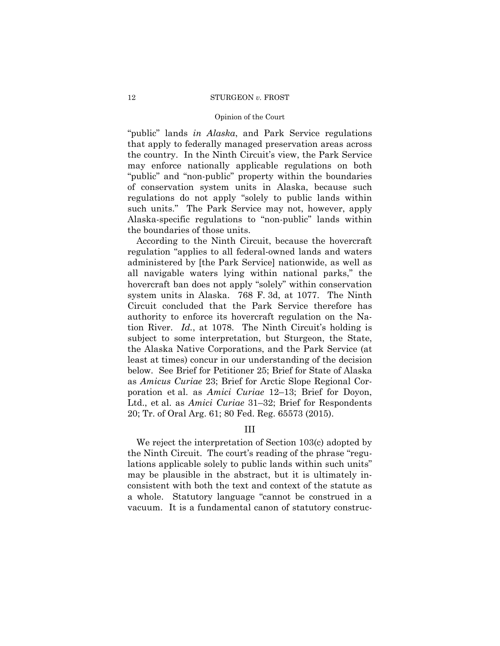#### Opinion of the Court

"public" lands *in Alaska*, and Park Service regulations that apply to federally managed preservation areas across the country. In the Ninth Circuit's view, the Park Service may enforce nationally applicable regulations on both "public" and "non-public" property within the boundaries of conservation system units in Alaska, because such regulations do not apply "solely to public lands within such units." The Park Service may not, however, apply Alaska-specific regulations to "non-public" lands within the boundaries of those units.

According to the Ninth Circuit, because the hovercraft regulation "applies to all federal-owned lands and waters administered by [the Park Service] nationwide, as well as all navigable waters lying within national parks," the hovercraft ban does not apply "solely" within conservation system units in Alaska. 768 F. 3d, at 1077. The Ninth Circuit concluded that the Park Service therefore has authority to enforce its hovercraft regulation on the Nation River. *Id.*, at 1078. The Ninth Circuit's holding is subject to some interpretation, but Sturgeon, the State, the Alaska Native Corporations, and the Park Service (at least at times) concur in our understanding of the decision below. See Brief for Petitioner 25; Brief for State of Alaska as *Amicus Curiae* 23; Brief for Arctic Slope Regional Corporation et al. as *Amici Curiae* 12–13; Brief for Doyon, Ltd., et al. as *Amici Curiae* 31–32; Brief for Respondents 20; Tr. of Oral Arg. 61; 80 Fed. Reg. 65573 (2015).

### III

We reject the interpretation of Section 103(c) adopted by the Ninth Circuit. The court's reading of the phrase "regulations applicable solely to public lands within such units" may be plausible in the abstract, but it is ultimately inconsistent with both the text and context of the statute as a whole. Statutory language "cannot be construed in a vacuum. It is a fundamental canon of statutory construc-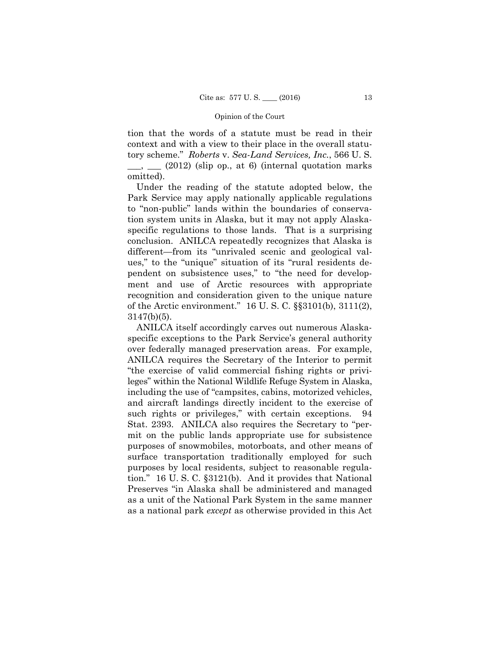tion that the words of a statute must be read in their context and with a view to their place in the overall statutory scheme." *Roberts* v. *Sea-Land Services, Inc.*, 566 U. S.  $\Box$ ,  $\Box$  (2012) (slip op., at 6) (internal quotation marks omitted).

Under the reading of the statute adopted below, the Park Service may apply nationally applicable regulations to "non-public" lands within the boundaries of conservation system units in Alaska, but it may not apply Alaskaspecific regulations to those lands. That is a surprising conclusion. ANILCA repeatedly recognizes that Alaska is different—from its "unrivaled scenic and geological values," to the "unique" situation of its "rural residents dependent on subsistence uses," to "the need for development and use of Arctic resources with appropriate recognition and consideration given to the unique nature of the Arctic environment." 16 U. S. C. §§3101(b), 3111(2), 3147(b)(5).

ANILCA itself accordingly carves out numerous Alaskaspecific exceptions to the Park Service's general authority over federally managed preservation areas. For example, ANILCA requires the Secretary of the Interior to permit "the exercise of valid commercial fishing rights or privileges" within the National Wildlife Refuge System in Alaska, including the use of "campsites, cabins, motorized vehicles, and aircraft landings directly incident to the exercise of such rights or privileges," with certain exceptions. 94 Stat. 2393. ANILCA also requires the Secretary to "permit on the public lands appropriate use for subsistence purposes of snowmobiles, motorboats, and other means of surface transportation traditionally employed for such purposes by local residents, subject to reasonable regulation." 16 U. S. C. §3121(b). And it provides that National Preserves "in Alaska shall be administered and managed as a unit of the National Park System in the same manner as a national park *except* as otherwise provided in this Act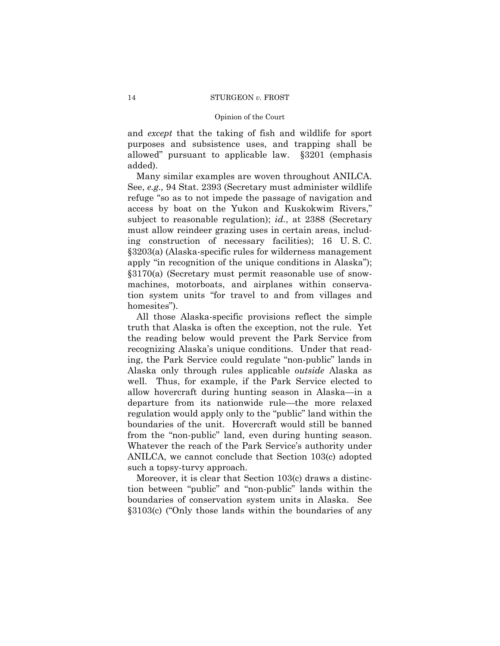and *except* that the taking of fish and wildlife for sport purposes and subsistence uses, and trapping shall be allowed" pursuant to applicable law. §3201 (emphasis added).

Many similar examples are woven throughout ANILCA. See, *e.g.,* 94 Stat. 2393 (Secretary must administer wildlife refuge "so as to not impede the passage of navigation and access by boat on the Yukon and Kuskokwim Rivers," subject to reasonable regulation); *id.*, at 2388 (Secretary must allow reindeer grazing uses in certain areas, including construction of necessary facilities); 16 U. S. C. §3203(a) (Alaska-specific rules for wilderness management apply "in recognition of the unique conditions in Alaska"); §3170(a) (Secretary must permit reasonable use of snowmachines, motorboats, and airplanes within conservation system units "for travel to and from villages and homesites").

All those Alaska-specific provisions reflect the simple truth that Alaska is often the exception, not the rule. Yet the reading below would prevent the Park Service from recognizing Alaska's unique conditions. Under that reading, the Park Service could regulate "non-public" lands in Alaska only through rules applicable *outside* Alaska as well. Thus, for example, if the Park Service elected to allow hovercraft during hunting season in Alaska—in a departure from its nationwide rule—the more relaxed regulation would apply only to the "public" land within the boundaries of the unit. Hovercraft would still be banned from the "non-public" land, even during hunting season. Whatever the reach of the Park Service's authority under ANILCA, we cannot conclude that Section 103(c) adopted such a topsy-turvy approach.

Moreover, it is clear that Section 103(c) draws a distinction between "public" and "non-public" lands within the boundaries of conservation system units in Alaska. See §3103(c) ("Only those lands within the boundaries of any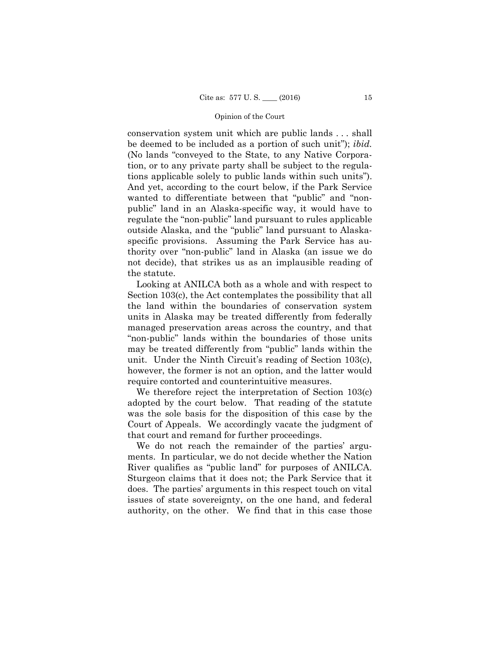conservation system unit which are public lands . . . shall be deemed to be included as a portion of such unit"); *ibid.*  (No lands "conveyed to the State, to any Native Corporation, or to any private party shall be subject to the regulations applicable solely to public lands within such units"). And yet, according to the court below, if the Park Service wanted to differentiate between that "public" and "nonpublic" land in an Alaska-specific way, it would have to regulate the "non-public" land pursuant to rules applicable outside Alaska, and the "public" land pursuant to Alaskaspecific provisions. Assuming the Park Service has authority over "non-public" land in Alaska (an issue we do not decide), that strikes us as an implausible reading of the statute.

Looking at ANILCA both as a whole and with respect to Section 103(c), the Act contemplates the possibility that all the land within the boundaries of conservation system units in Alaska may be treated differently from federally managed preservation areas across the country, and that "non-public" lands within the boundaries of those units may be treated differently from "public" lands within the unit. Under the Ninth Circuit's reading of Section 103(c), however, the former is not an option, and the latter would require contorted and counterintuitive measures.

We therefore reject the interpretation of Section 103(c) adopted by the court below. That reading of the statute was the sole basis for the disposition of this case by the Court of Appeals. We accordingly vacate the judgment of that court and remand for further proceedings.

We do not reach the remainder of the parties' arguments. In particular, we do not decide whether the Nation River qualifies as "public land" for purposes of ANILCA. Sturgeon claims that it does not; the Park Service that it does. The parties' arguments in this respect touch on vital issues of state sovereignty, on the one hand, and federal authority, on the other. We find that in this case those